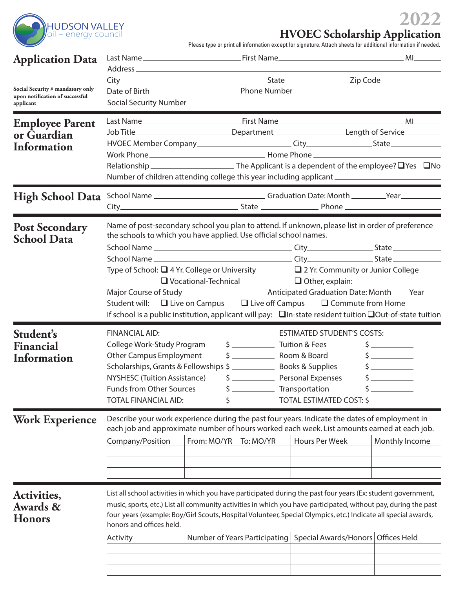

## **2022 HVOEC Scholarship Application**

Please type or print all information except for signature. Attach sheets for additional information if needed.

| <b>Application Data</b>                                                          |                                                                                                                                                                                  |             |           |                                                                                                                                                                                                                                                                                                                                                                                                                                                                                    |                                                                             |  |
|----------------------------------------------------------------------------------|----------------------------------------------------------------------------------------------------------------------------------------------------------------------------------|-------------|-----------|------------------------------------------------------------------------------------------------------------------------------------------------------------------------------------------------------------------------------------------------------------------------------------------------------------------------------------------------------------------------------------------------------------------------------------------------------------------------------------|-----------------------------------------------------------------------------|--|
| Social Security # mandatory only<br>upon notification of successful<br>applicant |                                                                                                                                                                                  |             |           | <u> 1989 - Jan Barat, martin da shekara ta 1989 - An tsara tsara tsara tsara tsara tsara tsara tsara tsara tsara </u>                                                                                                                                                                                                                                                                                                                                                              |                                                                             |  |
| <b>Employee Parent</b><br>or Guardian<br>Information                             |                                                                                                                                                                                  |             |           | Job Title______________________________Department _______________________Length of Service__________<br>Number of children attending college this year including applicant ________________________________                                                                                                                                                                                                                                                                        |                                                                             |  |
| <b>High School Data</b>                                                          |                                                                                                                                                                                  |             |           | School Name ___________________________________Graduation Date: Month _________Year _______________                                                                                                                                                                                                                                                                                                                                                                                |                                                                             |  |
| <b>Post Secondary</b><br><b>School Data</b>                                      | the schools to which you have applied. Use official school names.                                                                                                                |             |           | Name of post-secondary school you plan to attend. If unknown, please list in order of preference<br>Type of School: $\Box$ 4 Yr. College or University $\Box$ 2 Yr. Community or Junior College<br>□ Vocational-Technical □ Other, explain: <u>□ Other, explaine</u><br>Student will: $\Box$ Live on Campus $\Box$ Live off Campus $\Box$ Commute from Home<br>If school is a public institution, applicant will pay: $\Box$ In-state resident tuition $\Box$ Out-of-state tuition |                                                                             |  |
| Student's<br>Financial<br><b>Information</b>                                     | <b>FINANCIAL AID:</b><br>College Work-Study Program<br><b>Other Campus Employment</b><br>NYSHESC (Tuition Assistance)<br>Funds from Other Sources<br><b>TOTAL FINANCIAL AID:</b> | \$          |           | <b>ESTIMATED STUDENT'S COSTS:</b><br>Transportation<br>TOTAL ESTIMATED COST: \$                                                                                                                                                                                                                                                                                                                                                                                                    | $\frac{1}{2}$<br>$\frac{1}{2}$<br>$\frac{1}{2}$<br>$\mathsf{\underline{S}}$ |  |
| <b>Work Experience</b>                                                           | Company/Position                                                                                                                                                                 | From: MO/YR | To: MO/YR | Describe your work experience during the past four years. Indicate the dates of employment in<br>each job and approximate number of hours worked each week. List amounts earned at each job.<br><b>Hours Per Week</b>                                                                                                                                                                                                                                                              | Monthly Income                                                              |  |
| Activities,<br><b>Awards &amp;</b><br><b>Honors</b>                              | honors and offices held.<br>Activity                                                                                                                                             |             |           | List all school activities in which you have participated during the past four years (Ex: student government,<br>music, sports, etc.) List all community activities in which you have participated, without pay, during the past<br>four years (example: Boy/Girl Scouts, Hospital Volunteer, Special Olympics, etc.) Indicate all special awards,<br>Number of Years Participating   Special Awards/Honors   Offices Held                                                         |                                                                             |  |